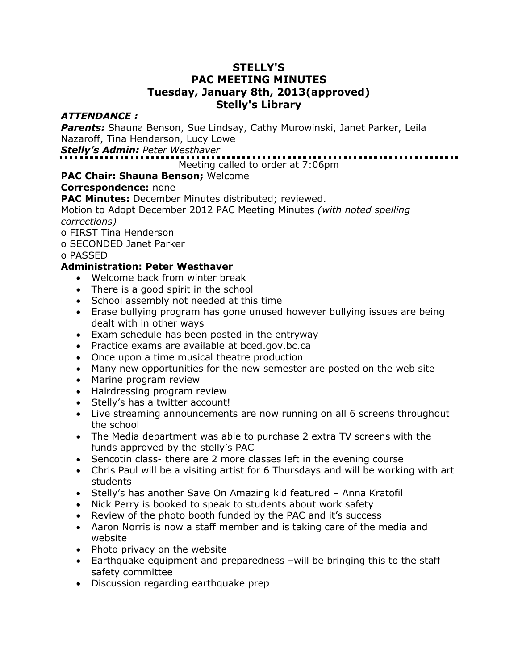### **STELLY'S PAC MEETING MINUTES Tuesday, January 8th, 2013(approved) Stelly's Library**

### *ATTENDANCE :*

*Parents:* Shauna Benson, Sue Lindsay, Cathy Murowinski, Janet Parker, Leila Nazaroff, Tina Henderson, Lucy Lowe

*Stelly's Admin: Peter Westhaver* 

Meeting called to order at 7:06pm

# **PAC Chair: Shauna Benson;** Welcome

### **Correspondence:** none

**PAC Minutes:** December Minutes distributed; reviewed.

Motion to Adopt December 2012 PAC Meeting Minutes *(with noted spelling corrections)*

o FIRST Tina Henderson

o SECONDED Janet Parker

o PASSED

# **Administration: Peter Westhaver**

- Welcome back from winter break
- There is a good spirit in the school
- School assembly not needed at this time
- Erase bullying program has gone unused however bullying issues are being dealt with in other ways
- Exam schedule has been posted in the entryway
- Practice exams are available at bced.gov.bc.ca
- Once upon a time musical theatre production
- Many new opportunities for the new semester are posted on the web site
- Marine program review
- Hairdressing program review
- Stelly's has a twitter account!
- Live streaming announcements are now running on all 6 screens throughout the school
- The Media department was able to purchase 2 extra TV screens with the funds approved by the stelly's PAC
- Sencotin class- there are 2 more classes left in the evening course
- Chris Paul will be a visiting artist for 6 Thursdays and will be working with art students
- Stelly's has another Save On Amazing kid featured Anna Kratofil
- Nick Perry is booked to speak to students about work safety
- Review of the photo booth funded by the PAC and it's success
- Aaron Norris is now a staff member and is taking care of the media and website
- Photo privacy on the website
- Earthquake equipment and preparedness –will be bringing this to the staff safety committee
- Discussion regarding earthquake prep